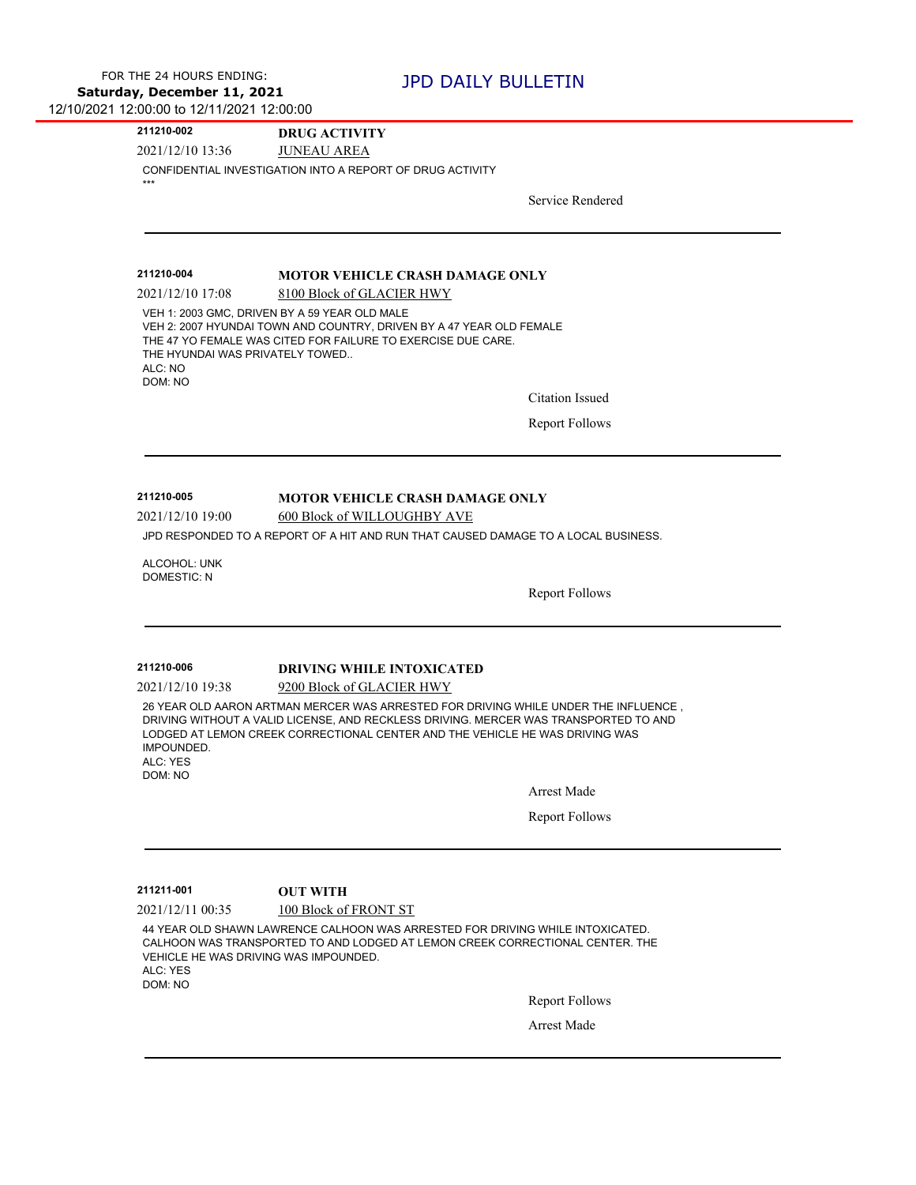**211210-002 DRUG ACTIVITY**

2021/12/10 13:36 JUNEAU AREA

CONFIDENTIAL INVESTIGATION INTO A REPORT OF DRUG ACTIVITY \*\*\*

Service Rendered

### **211210-004 MOTOR VEHICLE CRASH DAMAGE ONLY**

2021/12/10 17:08 8100 Block of GLACIER HWY VEH 1: 2003 GMC, DRIVEN BY A 59 YEAR OLD MALE VEH 2: 2007 HYUNDAI TOWN AND COUNTRY, DRIVEN BY A 47 YEAR OLD FEMALE THE 47 YO FEMALE WAS CITED FOR FAILURE TO EXERCISE DUE CARE. THE HYUNDAI WAS PRIVATELY TOWED.. ALC: NO DOM: NO

Citation Issued

Report Follows

## **211210-005 MOTOR VEHICLE CRASH DAMAGE ONLY**

2021/12/10 19:00 600 Block of WILLOUGHBY AVE

JPD RESPONDED TO A REPORT OF A HIT AND RUN THAT CAUSED DAMAGE TO A LOCAL BUSINESS.

ALCOHOL: UNK DOMESTIC: N

Report Follows

## **211210-006 DRIVING WHILE INTOXICATED**

2021/12/10 19:38 9200 Block of GLACIER HWY

26 YEAR OLD AARON ARTMAN MERCER WAS ARRESTED FOR DRIVING WHILE UNDER THE INFLUENCE , DRIVING WITHOUT A VALID LICENSE, AND RECKLESS DRIVING. MERCER WAS TRANSPORTED TO AND LODGED AT LEMON CREEK CORRECTIONAL CENTER AND THE VEHICLE HE WAS DRIVING WAS IMPOUNDED.

ALC: YES DOM: NO

Arrest Made

Report Follows

**211211-001 OUT WITH**

2021/12/11 00:35 100 Block of FRONT ST

44 YEAR OLD SHAWN LAWRENCE CALHOON WAS ARRESTED FOR DRIVING WHILE INTOXICATED. CALHOON WAS TRANSPORTED TO AND LODGED AT LEMON CREEK CORRECTIONAL CENTER. THE VEHICLE HE WAS DRIVING WAS IMPOUNDED. ALC: YES DOM: NO

Report Follows

Arrest Made